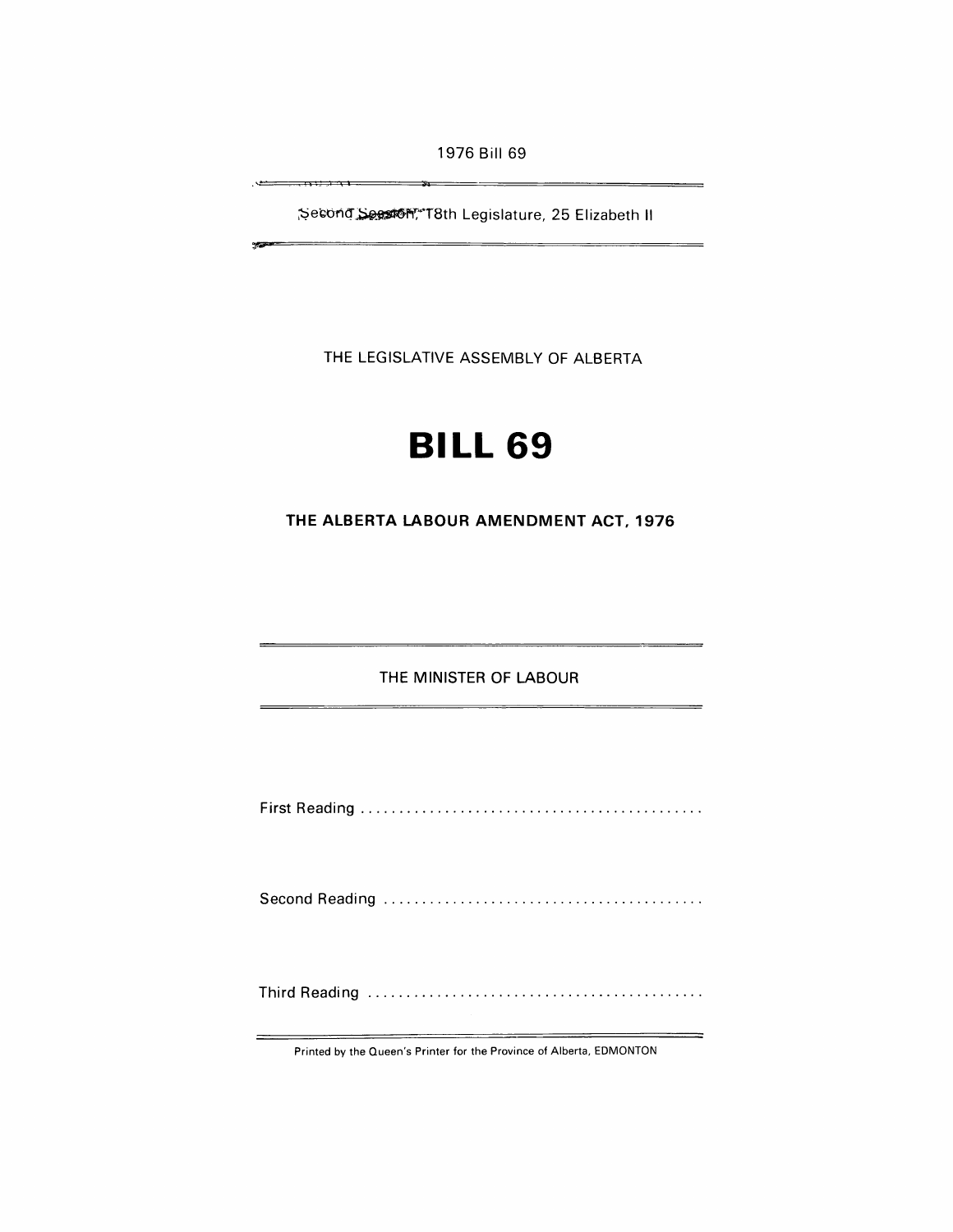1976 Bill 69

~e~Q-n(r:~f'f~T8th Legislature, 25 Elizabeth II

 $\frac{1}{2}$ 

کی .

 $\sim$ 

 $7.93771.$ 

THE LEGISLATIVE ASSEMBLY OF ALBERTA

# **BILL 69**

**THE ALBERTA LABOUR AMENDMENT ACT, 1976** 

THE MINISTER OF LABOUR

First Reading ............................................ .

Second Reading ......................................... .

Third Reading ........................................... .

Printed by the Queen's Printer for the Province of Alberta, EDMONTON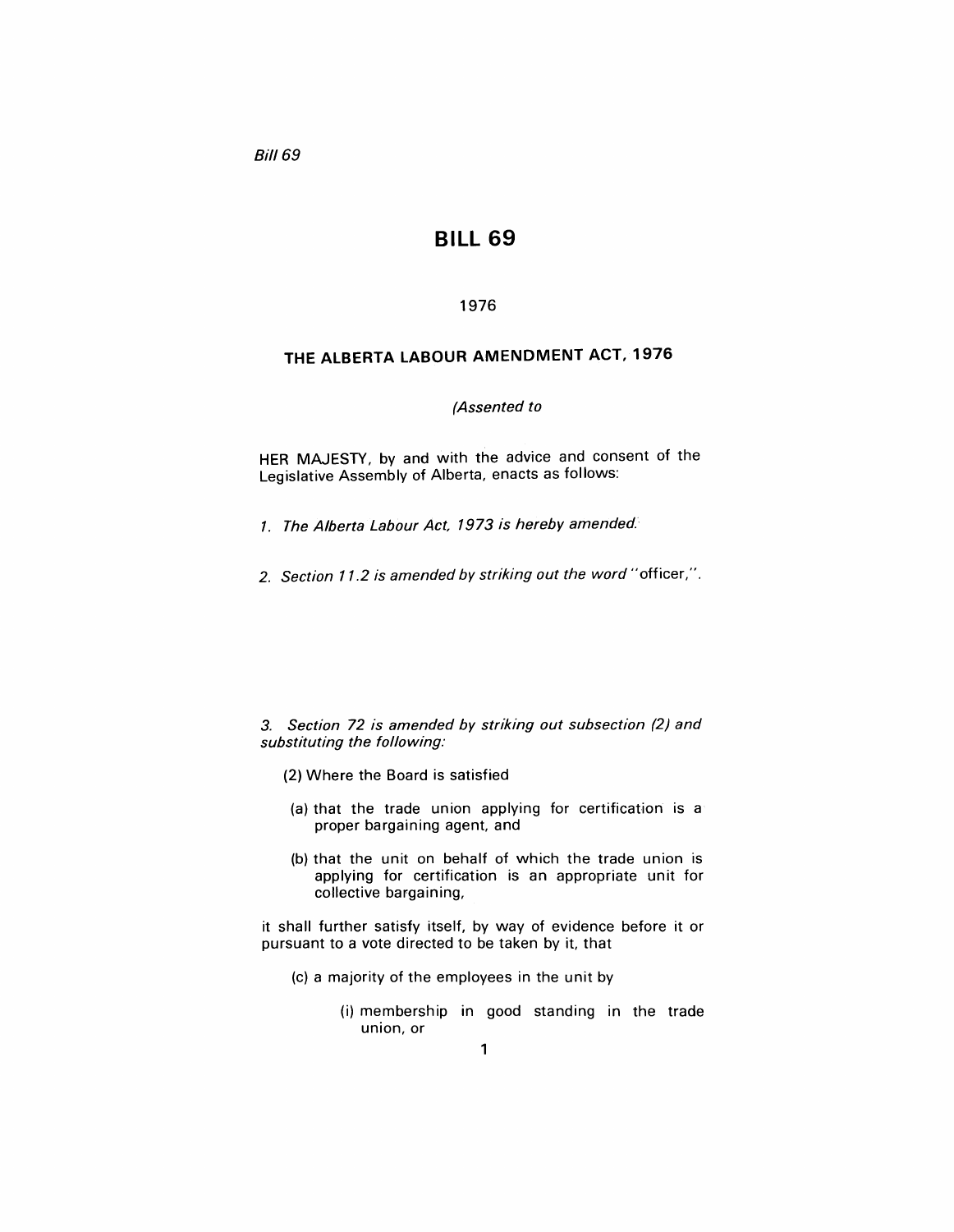**Bill 69** 

# **BILL 69**

## 1976

## **THE ALBERTA LABOUR AMENDMENT ACT, 1976**

### (Assented to

HER MAJESTY, by and with the advice and consent of the Legislative Assembly of Alberta, enacts as follows:

- 1. The Alberta Labour Act, 1973 is hereby amended.
- 2. Section 11.2 is amended by striking out the word "officer,".

3. Section 72 is amended by striking out subsection (2) and substituting the following:

- (2) Where the Board is satisfied
- (a) that the trade union applying for certification is a proper bargaining agent, and
- (b) that the unit on behalf of which the trade union is applying for certification is an appropriate unit for collective bargaining,

it shall further satisfy itself, by way of evidence before it or pursuant to a vote directed to be taken by it, that

- (c) a majority of the employees in the unit by
	- (i) membership in good standing in the trade union, or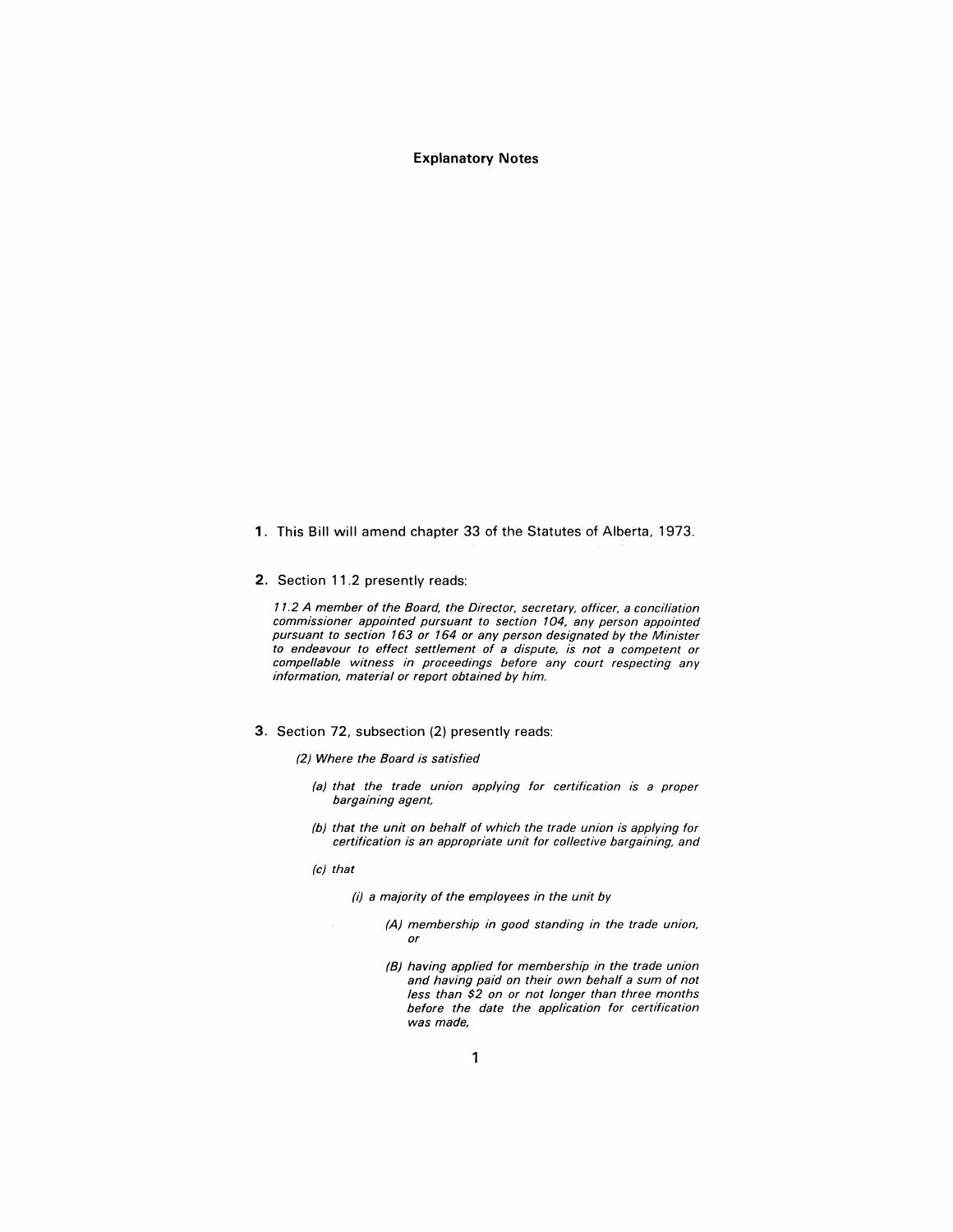**Explanatory Notes** 

- 1. This Bill will amend chapter 33 of the Statutes of Alberta, 1973.
- 2. Section 11.2 presently reads:

11.2 A member of the Board, the Director, secretary, officer, a conciliation commissioner appointed pursuant to section 104, any person appointed pursuant to section 163 or 164 or any person designated by the Minister to endeavour to effect settlement of a dispute, is not a competent or compellable witness in proceedings before any court respecting any information, material or report obtained by him.

3. Section 72, subsection (2) presently reads:

(2) Where the Board is satisfied

- (a) that the trade union applying for certification is a proper bargaining agent,
- (b) that the unit on behalf of which the trade union is applying for certification is an appropriate unit for collective bargaining, and
- (c) that

(i) a majority of the employees in the unit by

- (A) membership in good standing in the trade union, or
- (B) having applied for membership in the trade union and having paid on their own behalf a sum of not less than \$2 on or not longer than three months before the date the application for certification was made,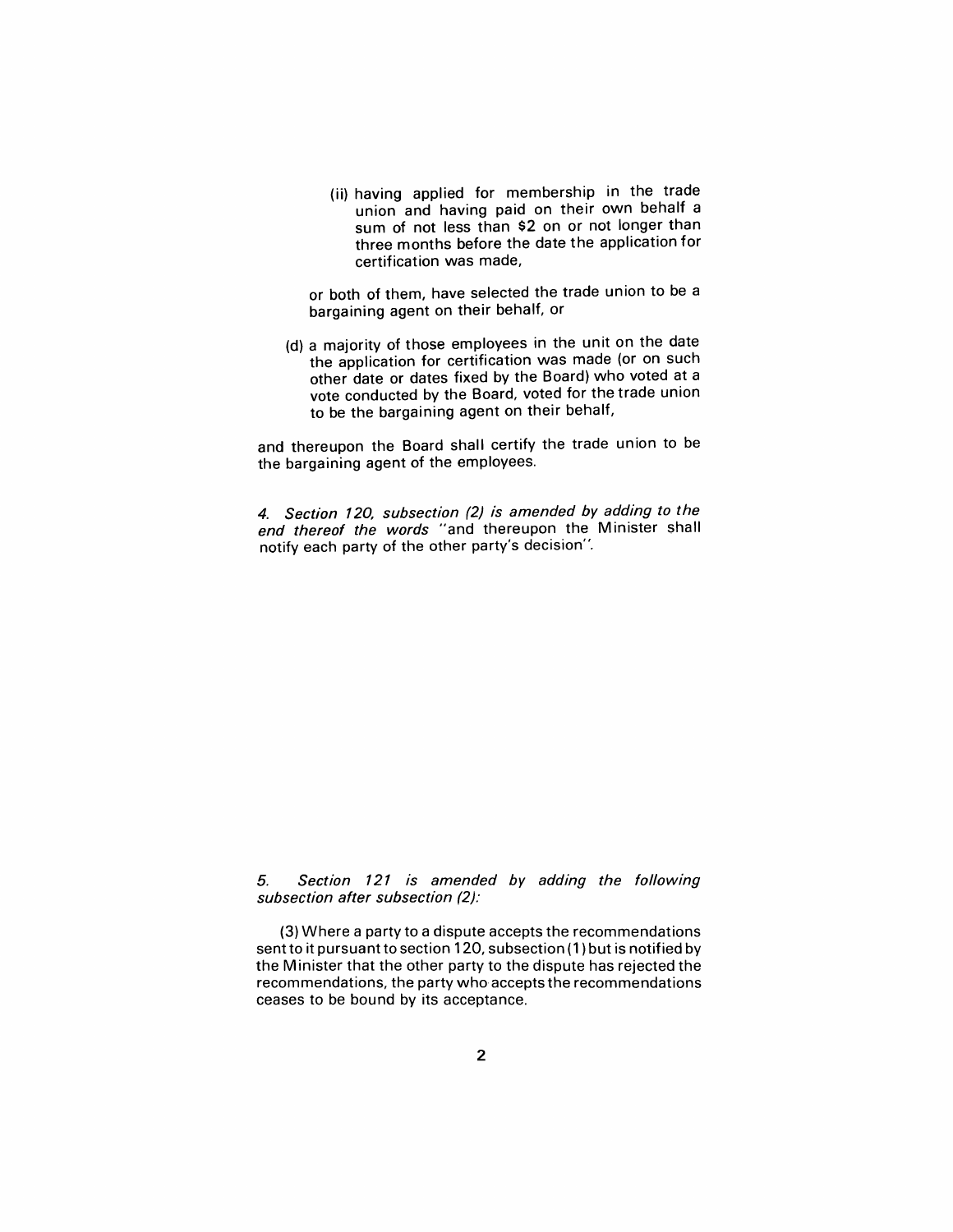(ii) having applied for membership in the trade union and having paid on their own behalf a sum of not less than \$2 on or not longer than three months before the date the application for certification was made,

or both of them, have selected the trade union to be a bargaining agent on their behalf, or

(d) a majority of those employees in the unit on the date the application for certification was made (or on such other date or dates fixed by the Board) who voted at a vote conducted by the Board, voted for the trade union to be the bargaining agent on their behalf,

and thereupon the Board shall certify the trade union to be the bargaining agent of the employees.

4. Section 120, subsection (2) is amended by adding to the end thereof the words "and thereupon the Minister shall notify each party of the other party's decision".

### 5. Section 121 is amended by adding the fol/owing subsection after subsection (2):

(3) Where a party to a dispute accepts the recommendations sent to it pursuant to section 120, subsection (1) but is notified by the Minister that the other party to the dispute has rejected the recommendations, the party who accepts the recommendations ceases to be bound by its acceptance.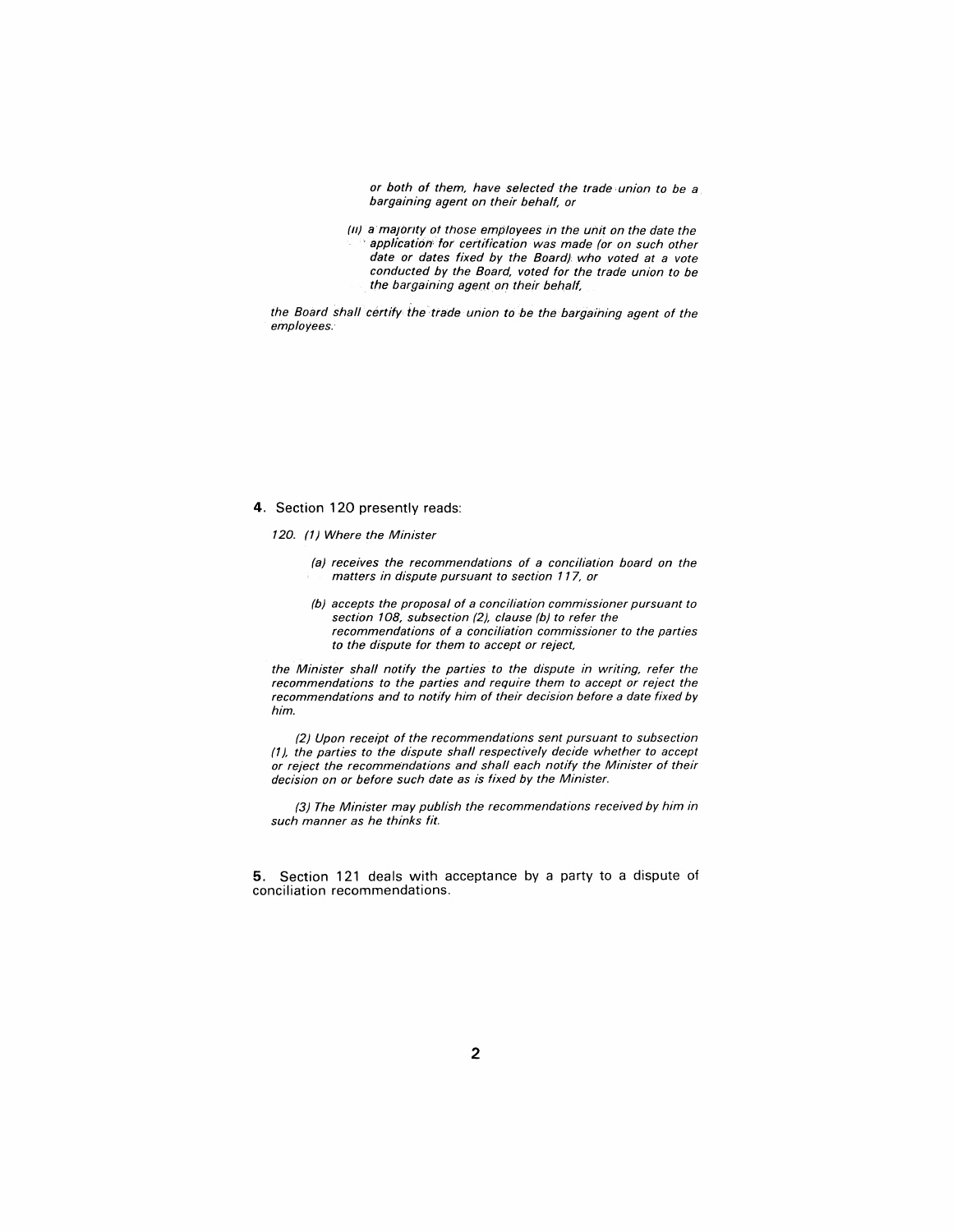or both of them, have selected the trade union to be a bargaining agent on their behalf, or

*(11)* a majority of those employees in the unit on the date the application for certification was made (or on such other date or dates fixed by the Board). who voted at a vote conducted by the Board, voted for the trade union to be the bargaining agent on their behalf,

the Board shall certify the trade union to be the bargaining agent of the employees.

#### 4. Section 120 presently reads:

120. (1) Where the Minister

- (a) receives the recommendations of a conciliation board on the matters in dispute pursuant to section 117, or
- (b) accepts the proposal of a conciliation commissioner pursuant to section 108, subsection (2), clause (b) to refer the recommendations of a conciliation commissioner to the parties to the dispute for them to accept or reject,

the Minister shall notify the parties to the dispute in writing, refer the recommendations to the parties and require them to accept or reject the recommendations and to notify him of their decision before a date fixed by him.

(2) Upon receipt of the recommendations sent pursuant to subsection *(1),* the parties to the dispute shall respectively decide whether to accept or reject the recommendations and shall each notify the Minister of their decision on or before such date as is fixed by the Minister.

(3) The Minister may publish the recommendations received by him in such manner as he thinks fit.

5. Section 121 deals with acceptance by a party to a dispute of conciliation recommendations.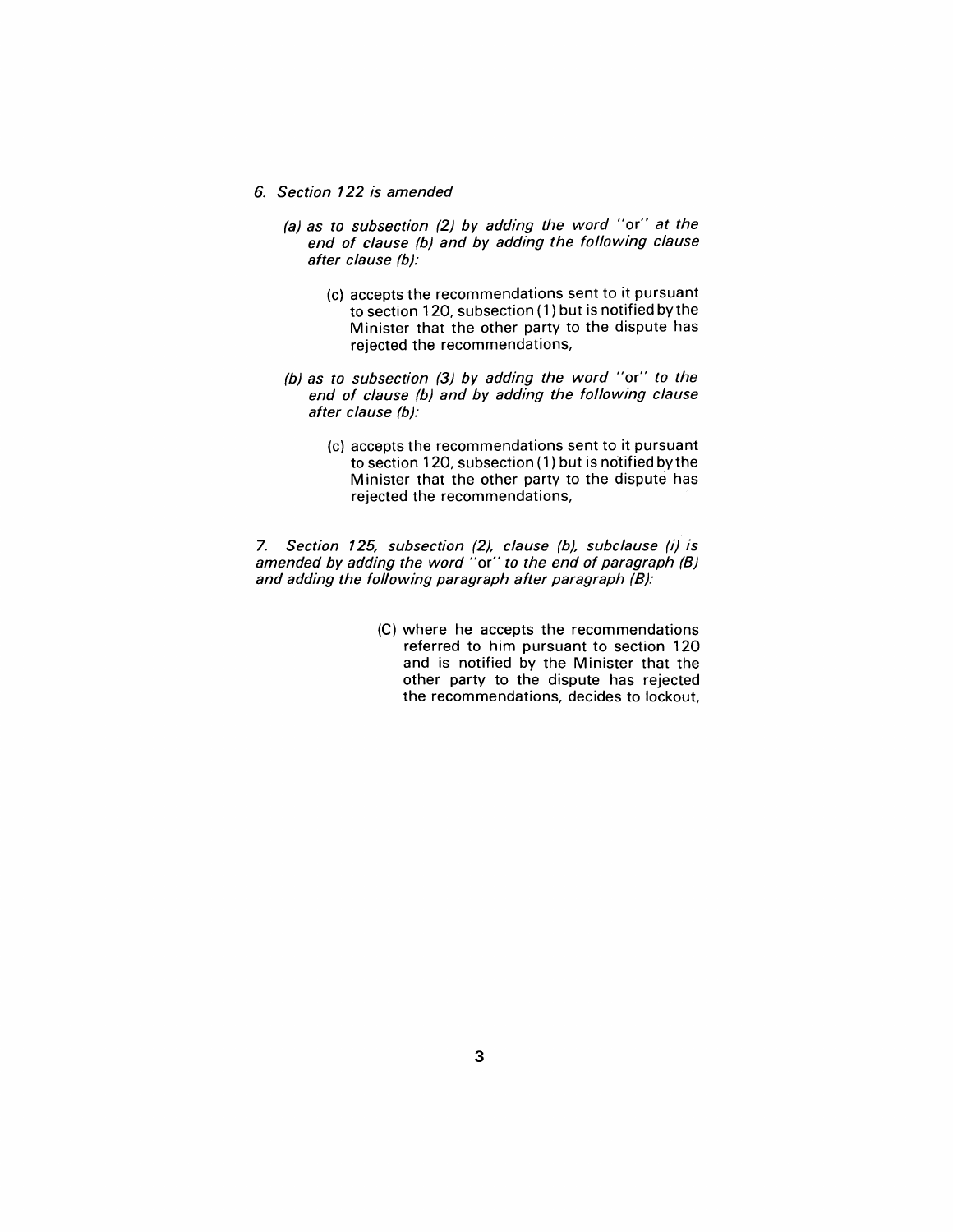- 6. Section 122 is amended
	- (a) as to subsection (2) by adding the word "or" at the end of clause (b) and by adding the following clause after clause (b):
		- (c) accepts the recommendations sent to it pursuant to section 120, subsection (1) but is notified by the Minister that the other party to the dispute has rejected the recommendations,
	- (b) as to subsection (3) by adding the word "or" to the end of clause (b) and by adding the following clause after clause (b):
		- (c) accepts the recommendations sent to it pursuant to section 120, subsection (1) but is notified by the Minister that the other party to the dispute has rejected the recommendations,

7. Section 125, subsection (2), clause (b), subclause (i) is amended by adding the word "or" to the end of paragraph (B) and adding the following paragraph after paragraph (B):

> (C) where he accepts the recommendations referred to him pursuant to section 120 and is notified by the Minister that the other party to the dispute has rejected the recommendations, decides to lockout,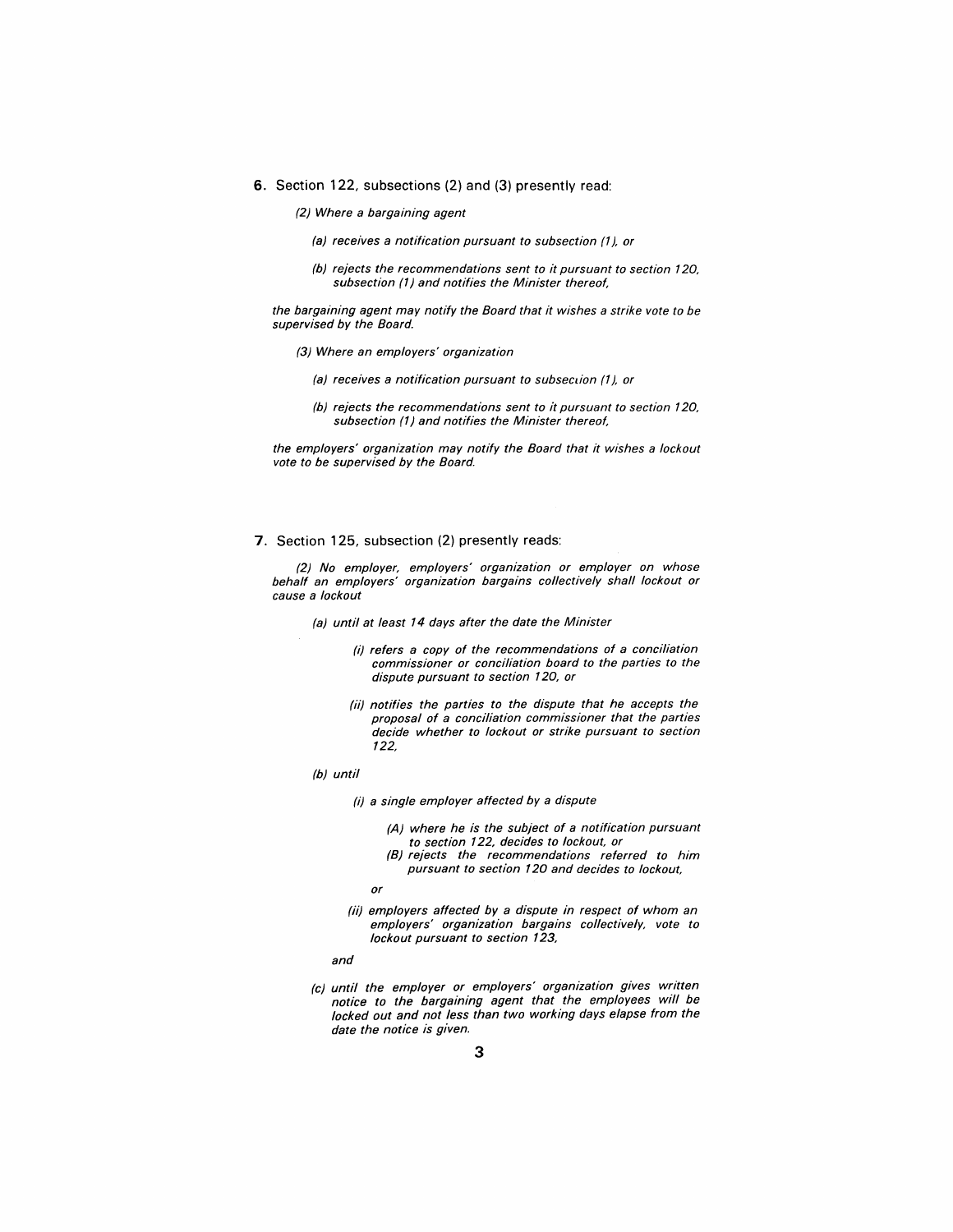- 6. Section 122, subsections (2) and (3) presently read:
	- (2) Where a bargaining agent
		- (a) receives a notification pursuant to subsection (1), or
		- (b) rejects the recommendations sent to it pursuant to section 120, subsection (1) and notifies the Minister thereof,

the bargaining agent may notify the Board that it wishes a strike vote to be supervised by the Board.

- (3) Where an employers' organization
	- (a) receives a notification pursuant to subsection (1), or
	- (b) rejects the recommendations sent to it pursuant to section 120, subsection (1) and notifies the Minister thereof,

the employers' organization may notify the Board that it wishes a lockout vote to be supervised by the Board.

#### 7. Section 125, subsection (2) presently reads:

(2) No employer, employers' organization or employer on whose behalf an employers' organization bargains collectively shall lockout or cause a lockout

(a) until at least 14 days after the date the Minister

- (i) refers a copy of the recommendations of a conciliation commissioner or conciliation board to the parties to the dispute pursuant to section 120, or
- (ii) notifies the parties to the dispute that he accepts the proposal of a conciliation commissioner that the parties decide whether to lockout or strike pursuant to section 122,
- (b) until
	- (i) a single employer affected by a dispute
		- (A) where he is the subject of a notification pursuant to section 122, decides to lockout, or
		- (B) rejects the recommendations referred to him pursuant to section 120 and decides to lockout,
		- or
	- (ii) employers affected by a dispute in respect of whom an employers' organization bargains collectively, vote to lockout pursuant to section 123,
	- and
- (c) until the employer or employers' organization gives written notice to the bargaining agent that the employees will be locked out and not less than two working days elapse from the date the notice is given.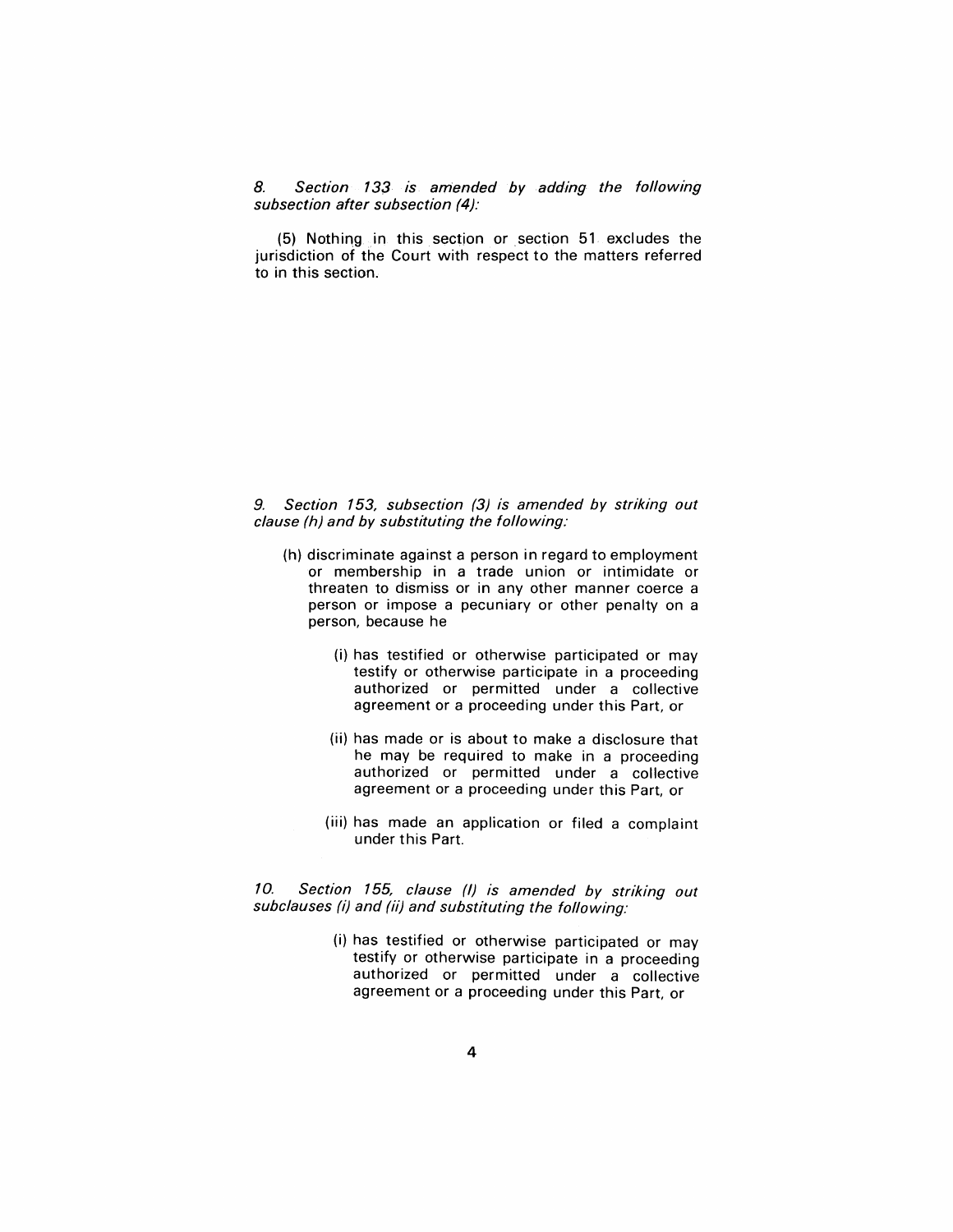8. Section 133 is amended by adding the following subsection after subsection (4):

 $(5)$  Nothing in this section or section  $51$  excludes the jurisdiction of the Court with respect to the matters referred to in this section.

#### 9. Section 153, subsection (3) is amended by striking out clause (h) and by substituting the following:

- (h) discriminate against a person in regard to employment or membership in a trade union or intimidate or threaten to dismiss or in any other manner coerce a person or impose a pecuniary or other penalty on a person, because he
	- (i) has testified or otherwise participated or may testify or otherwise participate in a proceeding authorized or permitted under a collective agreement or a proceeding under this Part, or
	- (ii) has made or is about to make a disclosure that he may be required to make in a proceeding authorized or permitted under a collective agreement or a proceeding under this Part, or
	- (iii) has made an application or filed a complaint under this Part.

10. Section 155, clause (I) is amended by striking out subclauses (i) and (ii) and substituting the following:

> (i) has testified or otherwise participated or may testify or otherwise participate in a proceeding authorized or permitted under a collective agreement or a proceeding under this Part, or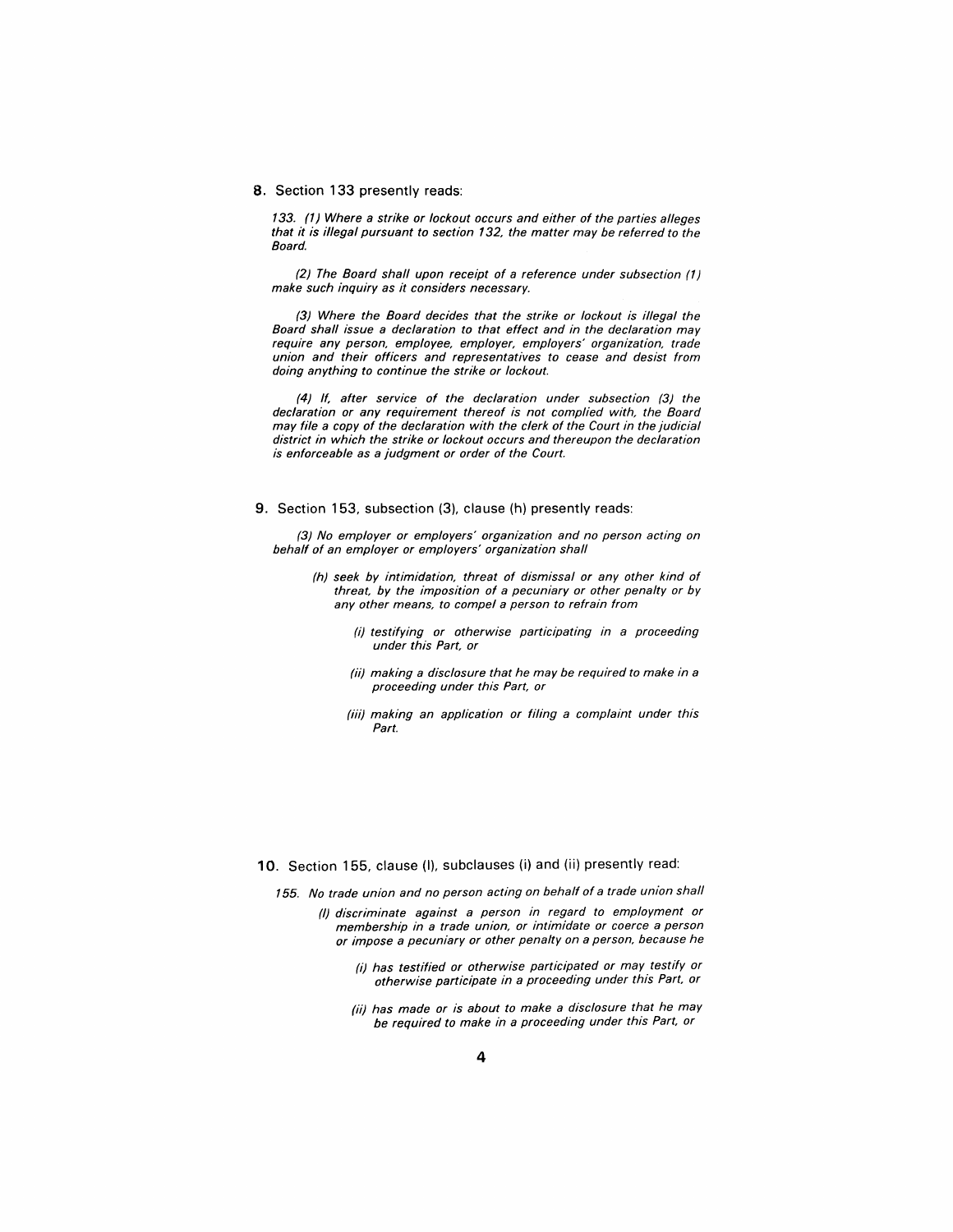#### 8. Section 133 presently reads:

133. (1) Where a strike or lockout occurs and either of the parties alleges that it is illegal pursuant to section 132, the matter may be referred to the Board.

(2) The Board shall upon receipt of a reference under subsection (1) make such inquiry as it considers necessary.

(3) Where the Board decides that the strike or lockout is illegal the Board shall issue a declaration to that effect and in the declaration may require any person, employee, employer, employers' organization, trade union and their officers and representatives to cease and desist from doing anything to continue the strike or lockout.

(4) If, after service of the declaration under subsection (3) the declaration or any requirement thereof is not complied with, the Board may file a copy of the declaration with the clerk of the Court in the judicial district in which the strike or lockout occurs and thereupon the declaration is enforceable as a judgment or order of the Court.

#### 9. Section 153, subsection (3), clause (h) presently reads:

(3) No employer or employers' organization and no person acting on behalf of an employer or employers' organization shall

- (h) seek by intimidation, threat of dismissal or any other kind of threat, by the imposition of a pecuniary or other penalty or by any other means, to compel a person to refrain from
	- (i) testifying or otherwise participating in a proceeding under this Part, or
	- (ii) making a disclosure that he may be required to make in a proceeding under this Part, or
	- (iii) making an application or filing a complaint under this Part.

#### 10. Section 155, clause (I), subclauses (i) and (ii) presently read:

- 155. No trade union and no person acting on behalf of a trade union shall
	- (I) discriminate against a person in regard to employment or membership in a trade union, or intimidate or coerce a person or impose a pecuniary or other penalty on a person, because he
		- (i) has testified or otherwise participated or may testify or otherwise participate in a proceeding under this Part, or
		- (ii) has made or is about to make a disclosure that he may be required to make in a proceeding under this Part, or